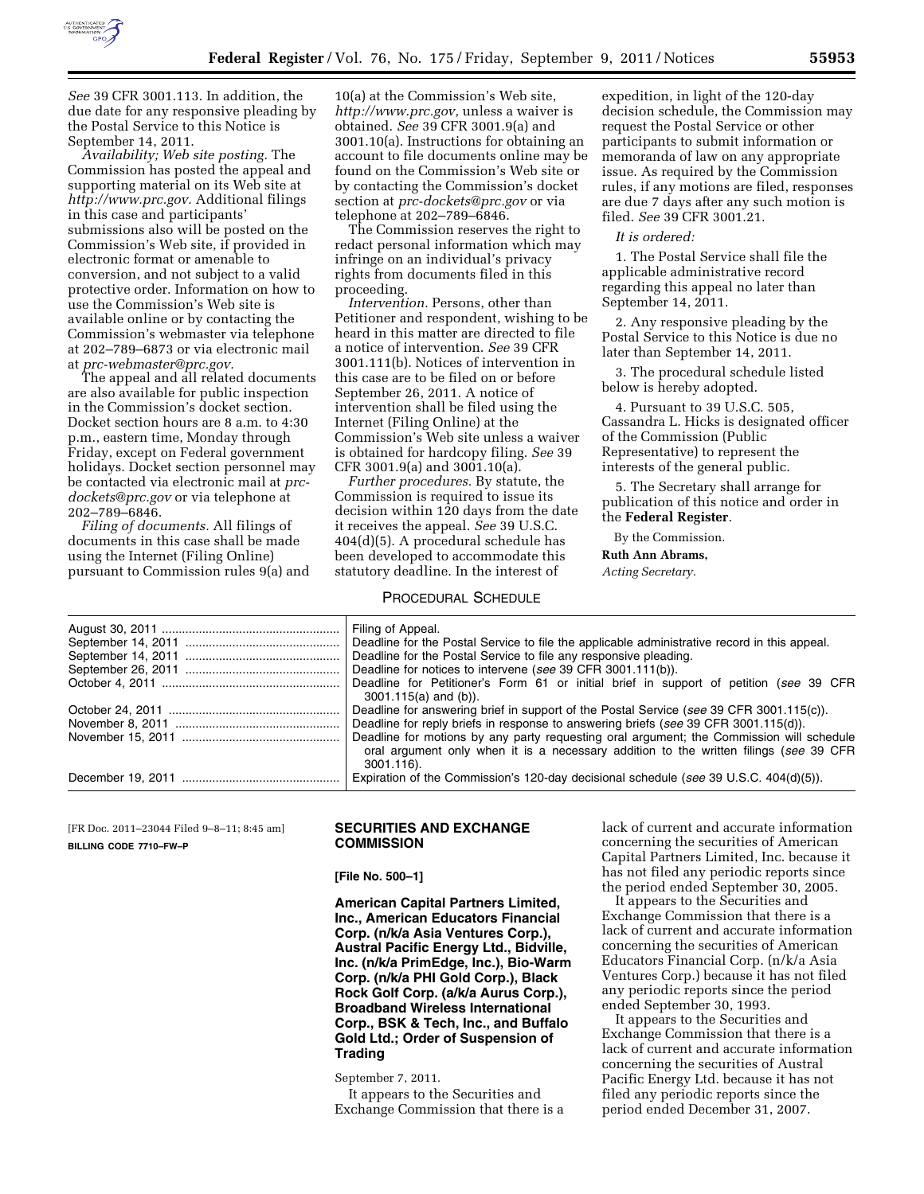

*See* 39 CFR 3001.113. In addition, the due date for any responsive pleading by the Postal Service to this Notice is September 14, 2011.

*Availability; Web site posting.* The Commission has posted the appeal and supporting material on its Web site at *[http://www.prc.gov.](http://www.prc.gov)* Additional filings in this case and participants' submissions also will be posted on the Commission's Web site, if provided in electronic format or amenable to conversion, and not subject to a valid protective order. Information on how to use the Commission's Web site is available online or by contacting the Commission's webmaster via telephone at 202–789–6873 or via electronic mail at *[prc-webmaster@prc.gov.](mailto:prc-webmaster@prc.gov)* 

The appeal and all related documents are also available for public inspection in the Commission's docket section. Docket section hours are 8 a.m. to 4:30 p.m., eastern time, Monday through Friday, except on Federal government holidays. Docket section personnel may be contacted via electronic mail at *[prc](mailto:prc-dockets@prc.gov)[dockets@prc.gov](mailto:prc-dockets@prc.gov)* or via telephone at 202–789–6846.

*Filing of documents.* All filings of documents in this case shall be made using the Internet (Filing Online) pursuant to Commission rules 9(a) and

10(a) at the Commission's Web site, *[http://www.prc.gov,](http://www.prc.gov)* unless a waiver is obtained. *See* 39 CFR 3001.9(a) and 3001.10(a). Instructions for obtaining an account to file documents online may be found on the Commission's Web site or by contacting the Commission's docket section at *[prc-dockets@prc.gov](mailto:prc-dockets@prc.gov)* or via telephone at 202–789–6846.

The Commission reserves the right to redact personal information which may infringe on an individual's privacy rights from documents filed in this proceeding.

*Intervention.* Persons, other than Petitioner and respondent, wishing to be heard in this matter are directed to file a notice of intervention. *See* 39 CFR 3001.111(b). Notices of intervention in this case are to be filed on or before September 26, 2011. A notice of intervention shall be filed using the Internet (Filing Online) at the Commission's Web site unless a waiver is obtained for hardcopy filing. *See* 39 CFR 3001.9(a) and 3001.10(a).

*Further procedures.* By statute, the Commission is required to issue its decision within 120 days from the date it receives the appeal. *See* 39 U.S.C. 404(d)(5). A procedural schedule has been developed to accommodate this statutory deadline. In the interest of

#### PROCEDURAL SCHEDULE

expedition, in light of the 120-day decision schedule, the Commission may request the Postal Service or other participants to submit information or memoranda of law on any appropriate issue. As required by the Commission rules, if any motions are filed, responses are due 7 days after any such motion is filed. *See* 39 CFR 3001.21.

#### *It is ordered:*

1. The Postal Service shall file the applicable administrative record regarding this appeal no later than September 14, 2011.

2. Any responsive pleading by the Postal Service to this Notice is due no later than September 14, 2011.

3. The procedural schedule listed below is hereby adopted.

4. Pursuant to 39 U.S.C. 505, Cassandra L. Hicks is designated officer of the Commission (Public Representative) to represent the interests of the general public.

5. The Secretary shall arrange for publication of this notice and order in the **Federal Register**.

By the Commission.

**Ruth Ann Abrams,** 

*Acting Secretary.* 

| Filing of Appeal.                                                                                                                                                                               |
|-------------------------------------------------------------------------------------------------------------------------------------------------------------------------------------------------|
| Deadline for the Postal Service to file the applicable administrative record in this appeal.                                                                                                    |
| Deadline for the Postal Service to file any responsive pleading.                                                                                                                                |
| Deadline for notices to intervene (see 39 CFR 3001.111(b)).                                                                                                                                     |
| Deadline for Petitioner's Form 61 or initial brief in support of petition (see 39 CFR<br>$3001.115(a)$ and (b)).                                                                                |
| Deadline for answering brief in support of the Postal Service (see 39 CFR 3001.115(c)).                                                                                                         |
| Deadline for reply briefs in response to answering briefs (see 39 CFR 3001.115(d)).                                                                                                             |
| Deadline for motions by any party requesting oral argument; the Commission will schedule<br>oral argument only when it is a necessary addition to the written filings (see 39 CFR<br>3001.116). |
| Expiration of the Commission's 120-day decisional schedule (see 39 U.S.C. 404(d)(5)).                                                                                                           |

[FR Doc. 2011–23044 Filed 9–8–11; 8:45 am] **BILLING CODE 7710–FW–P** 

#### **SECURITIES AND EXCHANGE COMMISSION**

**[File No. 500–1]** 

**American Capital Partners Limited, Inc., American Educators Financial Corp. (n/k/a Asia Ventures Corp.), Austral Pacific Energy Ltd., Bidville, Inc. (n/k/a PrimEdge, Inc.), Bio-Warm Corp. (n/k/a PHI Gold Corp.), Black Rock Golf Corp. (a/k/a Aurus Corp.), Broadband Wireless International Corp., BSK & Tech, Inc., and Buffalo Gold Ltd.; Order of Suspension of Trading** 

September 7, 2011.

It appears to the Securities and Exchange Commission that there is a

lack of current and accurate information concerning the securities of American Capital Partners Limited, Inc. because it has not filed any periodic reports since the period ended September 30, 2005.

It appears to the Securities and Exchange Commission that there is a lack of current and accurate information concerning the securities of American Educators Financial Corp. (n/k/a Asia Ventures Corp.) because it has not filed any periodic reports since the period ended September 30, 1993.

It appears to the Securities and Exchange Commission that there is a lack of current and accurate information concerning the securities of Austral Pacific Energy Ltd. because it has not filed any periodic reports since the period ended December 31, 2007.